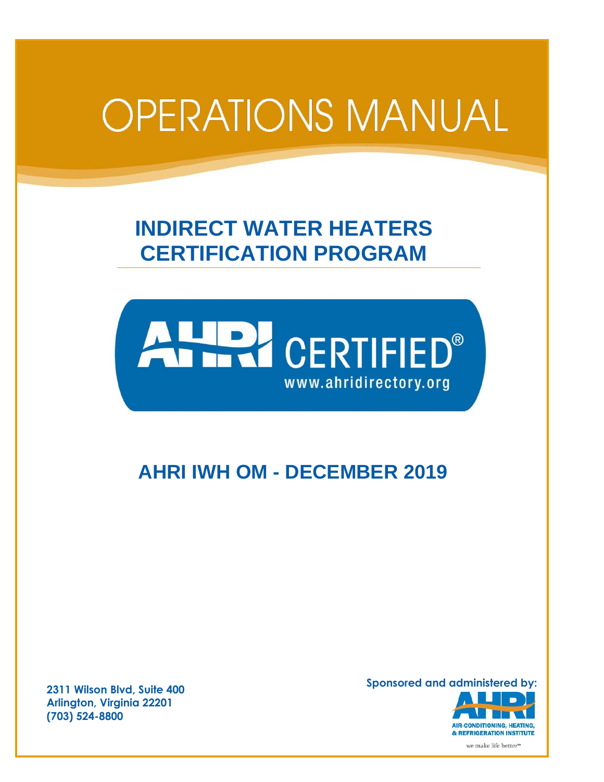# **OPERATIONS MANUAL**

# **INDIRECT WATER HEATERS CERTIFICATION PROGRAM**



# **AHRI IWH OM - DECEMBER 2019**

**2311 Wilson Blvd, Suite 400 Arlington, Virginia 22201 (703) 524-8800**

**Sponsored and administered by:**

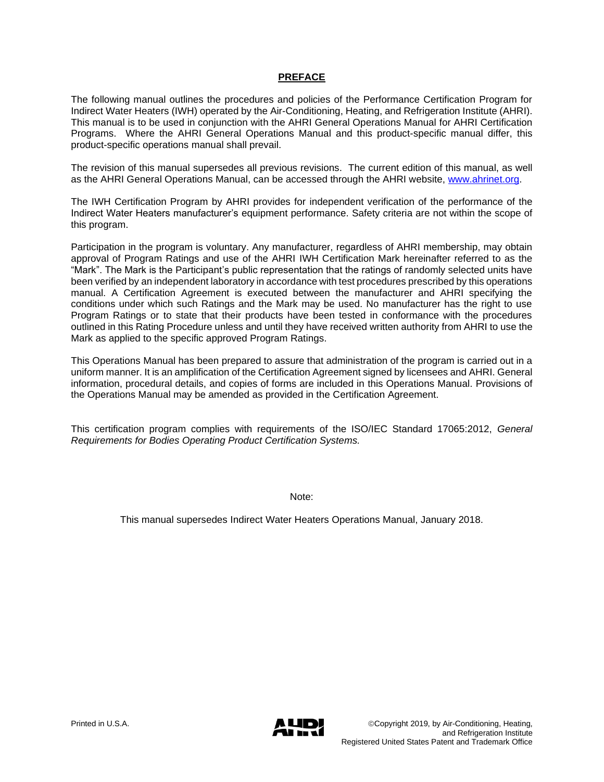# **PREFACE**

The following manual outlines the procedures and policies of the Performance Certification Program for Indirect Water Heaters (IWH) operated by the Air-Conditioning, Heating, and Refrigeration Institute (AHRI). This manual is to be used in conjunction with the AHRI General Operations Manual for AHRI Certification Programs. Where the AHRI General Operations Manual and this product-specific manual differ, this product-specific operations manual shall prevail.

The revision of this manual supersedes all previous revisions. The current edition of this manual, as well as the AHRI General Operations Manual, can be accessed through the AHRI website, [www.ahrinet.org.](http://www.ahrinet.org/)

The IWH Certification Program by AHRI provides for independent verification of the performance of the Indirect Water Heaters manufacturer's equipment performance. Safety criteria are not within the scope of this program.

Participation in the program is voluntary. Any manufacturer, regardless of AHRI membership, may obtain approval of Program Ratings and use of the AHRI IWH Certification Mark hereinafter referred to as the "Mark". The Mark is the Participant's public representation that the ratings of randomly selected units have been verified by an independent laboratory in accordance with test procedures prescribed by this operations manual. A Certification Agreement is executed between the manufacturer and AHRI specifying the conditions under which such Ratings and the Mark may be used. No manufacturer has the right to use Program Ratings or to state that their products have been tested in conformance with the procedures outlined in this Rating Procedure unless and until they have received written authority from AHRI to use the Mark as applied to the specific approved Program Ratings.

This Operations Manual has been prepared to assure that administration of the program is carried out in a uniform manner. It is an amplification of the Certification Agreement signed by licensees and AHRI. General information, procedural details, and copies of forms are included in this Operations Manual. Provisions of the Operations Manual may be amended as provided in the Certification Agreement.

This certification program complies with requirements of the ISO/IEC Standard 17065:2012, *General Requirements for Bodies Operating Product Certification Systems.* 

Note:

This manual supersedes Indirect Water Heaters Operations Manual, January 2018.

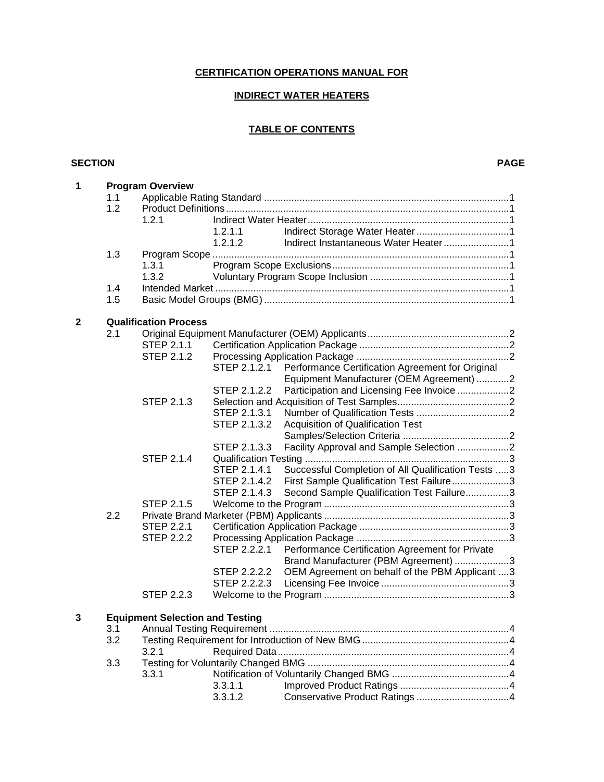# **CERTIFICATION OPERATIONS MANUAL FOR**

# **INDIRECT WATER HEATERS**

#### **TABLE OF CONTENTS**

#### **SECTION PAGE**

| 1 | <b>Program Overview</b> |                                        |              |                                                    |  |  |  |  |
|---|-------------------------|----------------------------------------|--------------|----------------------------------------------------|--|--|--|--|
|   | 1.1                     |                                        |              |                                                    |  |  |  |  |
|   | 1.2                     |                                        |              |                                                    |  |  |  |  |
|   |                         | 1.2.1                                  |              |                                                    |  |  |  |  |
|   |                         |                                        | 1.2.1.1      |                                                    |  |  |  |  |
|   |                         |                                        | 1.2.1.2      |                                                    |  |  |  |  |
|   | 1.3                     |                                        |              |                                                    |  |  |  |  |
|   |                         | 1.3.1                                  |              |                                                    |  |  |  |  |
|   |                         | 1.3.2                                  |              |                                                    |  |  |  |  |
|   | 1.4                     |                                        |              |                                                    |  |  |  |  |
|   | 1.5                     |                                        |              |                                                    |  |  |  |  |
|   |                         |                                        |              |                                                    |  |  |  |  |
| 2 |                         | <b>Qualification Process</b>           |              |                                                    |  |  |  |  |
|   | 2.1                     |                                        |              |                                                    |  |  |  |  |
|   |                         | STEP 2.1.1                             |              |                                                    |  |  |  |  |
|   |                         | STEP 2.1.2                             |              |                                                    |  |  |  |  |
|   |                         |                                        |              |                                                    |  |  |  |  |
|   |                         |                                        | STEP 2.1.2.1 | Performance Certification Agreement for Original   |  |  |  |  |
|   |                         |                                        |              | Equipment Manufacturer (OEM Agreement) 2           |  |  |  |  |
|   |                         |                                        | STEP 2.1.2.2 | Participation and Licensing Fee Invoice 2          |  |  |  |  |
|   |                         | STEP 2.1.3                             |              |                                                    |  |  |  |  |
|   |                         |                                        | STEP 2.1.3.1 |                                                    |  |  |  |  |
|   |                         |                                        | STEP 2.1.3.2 | Acquisition of Qualification Test                  |  |  |  |  |
|   |                         |                                        |              |                                                    |  |  |  |  |
|   |                         |                                        | STEP 2.1.3.3 | Facility Approval and Sample Selection 2           |  |  |  |  |
|   |                         | <b>STEP 2.1.4</b>                      |              |                                                    |  |  |  |  |
|   |                         |                                        | STEP 2.1.4.1 | Successful Completion of All Qualification Tests 3 |  |  |  |  |
|   |                         |                                        | STEP 2.1.4.2 | First Sample Qualification Test Failure3           |  |  |  |  |
|   |                         |                                        | STEP 2.1.4.3 | Second Sample Qualification Test Failure3          |  |  |  |  |
|   |                         | STEP 2.1.5                             |              |                                                    |  |  |  |  |
|   | 2.2                     |                                        |              |                                                    |  |  |  |  |
|   |                         | <b>STEP 2.2.1</b>                      |              |                                                    |  |  |  |  |
|   |                         | <b>STEP 2.2.2</b>                      |              |                                                    |  |  |  |  |
|   |                         |                                        | STEP 2.2.2.1 | Performance Certification Agreement for Private    |  |  |  |  |
|   |                         |                                        |              | Brand Manufacturer (PBM Agreement) 3               |  |  |  |  |
|   |                         |                                        | STEP 2.2.2.2 | OEM Agreement on behalf of the PBM Applicant 3     |  |  |  |  |
|   |                         |                                        | STEP 2.2.2.3 |                                                    |  |  |  |  |
|   |                         | STEP 2.2.3                             |              |                                                    |  |  |  |  |
|   |                         |                                        |              |                                                    |  |  |  |  |
| 3 |                         | <b>Equipment Selection and Testing</b> |              |                                                    |  |  |  |  |
|   | 3.1                     |                                        |              |                                                    |  |  |  |  |
|   | 3.2                     |                                        |              |                                                    |  |  |  |  |
|   |                         |                                        |              |                                                    |  |  |  |  |
|   | 3.3                     | 3.2.1                                  |              |                                                    |  |  |  |  |
|   |                         | 3.3.1                                  |              |                                                    |  |  |  |  |
|   |                         |                                        | 3.3.1.1      |                                                    |  |  |  |  |
|   |                         |                                        | 3.3.1.2      |                                                    |  |  |  |  |
|   |                         |                                        |              |                                                    |  |  |  |  |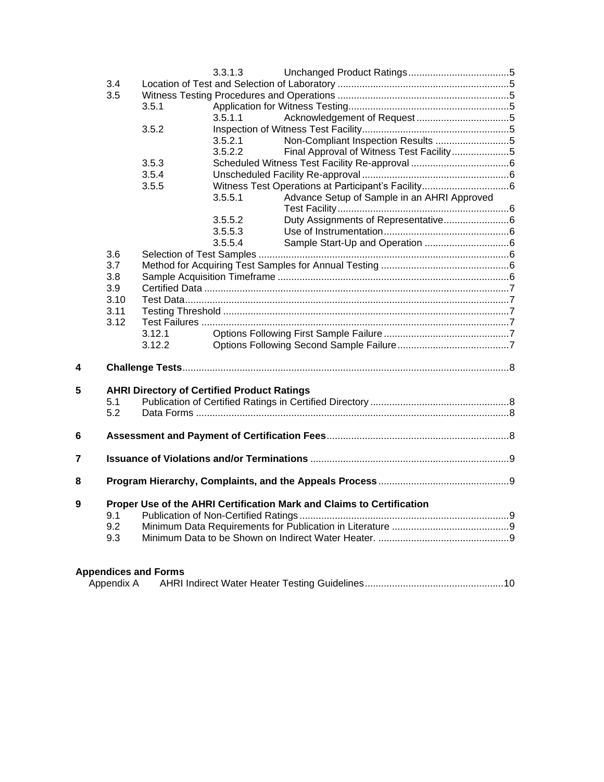|   |                                                                              |                                                    | 3.3.1.3 |                                             |  |  |  |
|---|------------------------------------------------------------------------------|----------------------------------------------------|---------|---------------------------------------------|--|--|--|
|   | 3.4                                                                          |                                                    |         |                                             |  |  |  |
|   | 3.5                                                                          |                                                    |         |                                             |  |  |  |
|   |                                                                              | 3.5.1                                              |         |                                             |  |  |  |
|   |                                                                              |                                                    | 3.5.1.1 |                                             |  |  |  |
|   |                                                                              | 3.5.2                                              |         |                                             |  |  |  |
|   |                                                                              |                                                    | 3.5.2.1 | Non-Compliant Inspection Results 5          |  |  |  |
|   |                                                                              |                                                    | 3.5.2.2 | Final Approval of Witness Test Facility5    |  |  |  |
|   |                                                                              | 3.5.3                                              |         |                                             |  |  |  |
|   |                                                                              | 3.5.4                                              |         |                                             |  |  |  |
|   |                                                                              | 3.5.5                                              |         |                                             |  |  |  |
|   |                                                                              |                                                    | 3.5.5.1 | Advance Setup of Sample in an AHRI Approved |  |  |  |
|   |                                                                              |                                                    | 3.5.5.2 |                                             |  |  |  |
|   |                                                                              |                                                    | 3.5.5.3 |                                             |  |  |  |
|   |                                                                              |                                                    | 3.5.5.4 |                                             |  |  |  |
|   | 3.6                                                                          |                                                    |         |                                             |  |  |  |
|   | 3.7                                                                          |                                                    |         |                                             |  |  |  |
|   | 3.8                                                                          |                                                    |         |                                             |  |  |  |
|   | 3.9                                                                          |                                                    |         |                                             |  |  |  |
|   | 3.10                                                                         |                                                    |         |                                             |  |  |  |
|   | 3.11                                                                         |                                                    |         |                                             |  |  |  |
|   | 3.12                                                                         |                                                    |         |                                             |  |  |  |
|   |                                                                              | 3.12.1                                             |         |                                             |  |  |  |
|   |                                                                              | 3.12.2                                             |         |                                             |  |  |  |
| 4 |                                                                              |                                                    |         |                                             |  |  |  |
| 5 |                                                                              | <b>AHRI Directory of Certified Product Ratings</b> |         |                                             |  |  |  |
|   | 5.1                                                                          |                                                    |         |                                             |  |  |  |
|   | 5.2                                                                          |                                                    |         |                                             |  |  |  |
| 6 |                                                                              |                                                    |         |                                             |  |  |  |
| 7 |                                                                              |                                                    |         |                                             |  |  |  |
|   |                                                                              |                                                    |         |                                             |  |  |  |
| 8 |                                                                              |                                                    |         |                                             |  |  |  |
| 9 | Proper Use of the AHRI Certification Mark and Claims to Certification<br>9.1 |                                                    |         |                                             |  |  |  |
|   |                                                                              |                                                    |         |                                             |  |  |  |
|   | 9.2                                                                          |                                                    |         |                                             |  |  |  |
|   | 9.3                                                                          |                                                    |         |                                             |  |  |  |
|   |                                                                              |                                                    |         |                                             |  |  |  |

# **Appendices and Forms**

| Appendix A |  |  |  |
|------------|--|--|--|
|------------|--|--|--|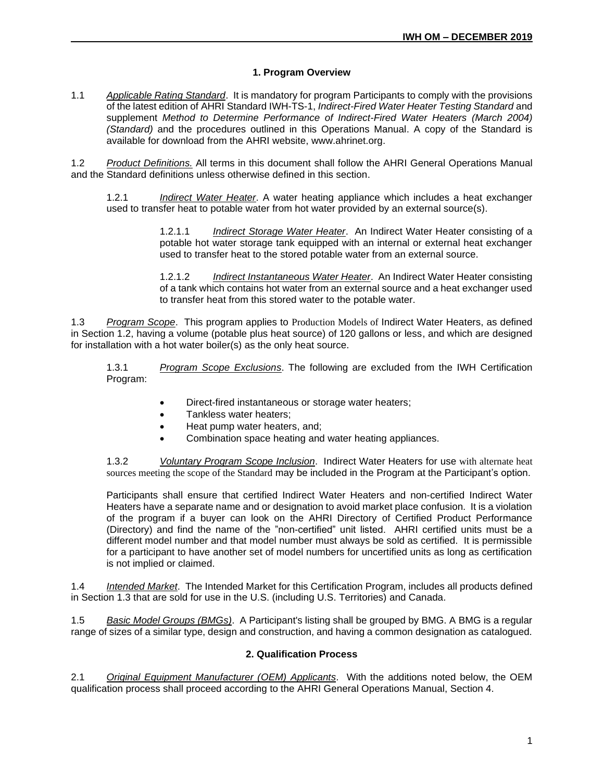#### **1. Program Overview**

1.1 *Applicable Rating Standard*. It is mandatory for program Participants to comply with the provisions of the latest edition of AHRI Standard IWH-TS-1, *Indirect-Fired Water Heater Testing Standard* and supplement *Method to Determine Performance of Indirect-Fired Water Heaters (March 2004) (Standard)* and the procedures outlined in this Operations Manual. A copy of the Standard is available for download from the AHRI website, www.ahrinet.org.

1.2 *Product Definitions.* All terms in this document shall follow the AHRI General Operations Manual and the Standard definitions unless otherwise defined in this section.

1.2.1 *Indirect Water Heater*. A water heating appliance which includes a heat exchanger used to transfer heat to potable water from hot water provided by an external source(s).

> 1.2.1.1 *Indirect Storage Water Heater*. An Indirect Water Heater consisting of a potable hot water storage tank equipped with an internal or external heat exchanger used to transfer heat to the stored potable water from an external source.

> 1.2.1.2 *Indirect Instantaneous Water Heater*. An Indirect Water Heater consisting of a tank which contains hot water from an external source and a heat exchanger used to transfer heat from this stored water to the potable water.

1.3 *Program Scope*. This program applies to Production Models of Indirect Water Heaters, as defined in Section 1.2, having a volume (potable plus heat source) of 120 gallons or less, and which are designed for installation with a hot water boiler(s) as the only heat source.

1.3.1 *Program Scope Exclusions*. The following are excluded from the IWH Certification Program:

- Direct-fired instantaneous or storage water heaters;
- Tankless water heaters;
- Heat pump water heaters, and;
- Combination space heating and water heating appliances.

1.3.2 *Voluntary Program Scope Inclusion*. Indirect Water Heaters for use with alternate heat sources meeting the scope of the Standard may be included in the Program at the Participant's option.

Participants shall ensure that certified Indirect Water Heaters and non-certified Indirect Water Heaters have a separate name and or designation to avoid market place confusion. It is a violation of the program if a buyer can look on the AHRI Directory of Certified Product Performance (Directory) and find the name of the "non-certified" unit listed. AHRI certified units must be a different model number and that model number must always be sold as certified. It is permissible for a participant to have another set of model numbers for uncertified units as long as certification is not implied or claimed.

1.4 *Intended Market*. The Intended Market for this Certification Program, includes all products defined in Section 1.3 that are sold for use in the U.S. (including U.S. Territories) and Canada.

1.5 *Basic Model Groups (BMGs)*. A Participant's listing shall be grouped by BMG. A BMG is a regular range of sizes of a similar type, design and construction, and having a common designation as catalogued.

#### **2. Qualification Process**

2.1 *Original Equipment Manufacturer (OEM) Applicants*. With the additions noted below, the OEM qualification process shall proceed according to the AHRI General Operations Manual, Section 4.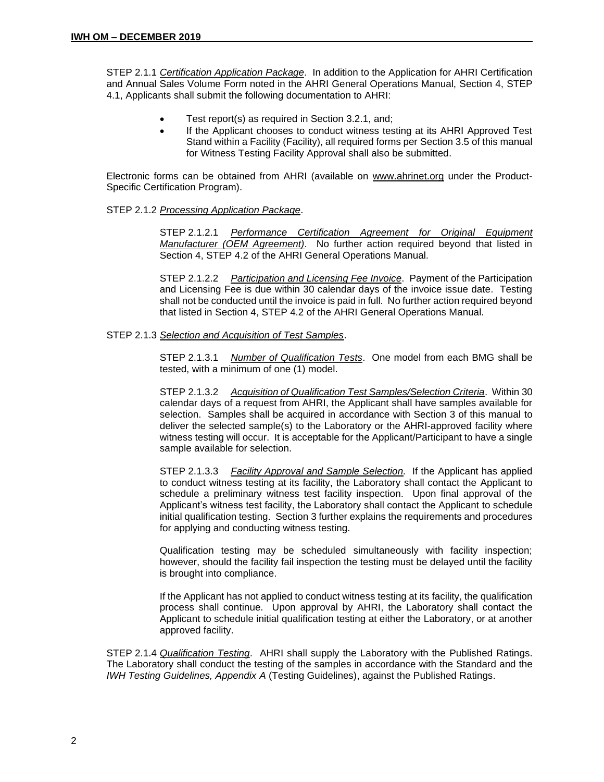STEP 2.1.1 *Certification Application Package*. In addition to the Application for AHRI Certification and Annual Sales Volume Form noted in the AHRI General Operations Manual, Section 4, STEP 4.1, Applicants shall submit the following documentation to AHRI:

- Test report(s) as required in Section 3.2.1, and;
- If the Applicant chooses to conduct witness testing at its AHRI Approved Test Stand within a Facility (Facility), all required forms per Section 3.5 of this manual for Witness Testing Facility Approval shall also be submitted.

Electronic forms can be obtained from AHRI (available on [www.ahrinet.org](http://www.ahrinet.org/) under the Product-Specific Certification Program).

#### STEP 2.1.2 *Processing Application Package*.

STEP 2.1.2.1 *Performance Certification Agreement for Original Equipment Manufacturer (OEM Agreement)*. No further action required beyond that listed in Section 4, STEP 4.2 of the AHRI General Operations Manual.

STEP 2.1.2.2 *Participation and Licensing Fee Invoice*. Payment of the Participation and Licensing Fee is due within 30 calendar days of the invoice issue date. Testing shall not be conducted until the invoice is paid in full. No further action required beyond that listed in Section 4, STEP 4.2 of the AHRI General Operations Manual.

#### STEP 2.1.3 *Selection and Acquisition of Test Samples*.

STEP 2.1.3.1 *Number of Qualification Tests*. One model from each BMG shall be tested, with a minimum of one (1) model.

STEP 2.1.3.2 *Acquisition of Qualification Test Samples/Selection Criteria*. Within 30 calendar days of a request from AHRI, the Applicant shall have samples available for selection. Samples shall be acquired in accordance with Section 3 of this manual to deliver the selected sample(s) to the Laboratory or the AHRI-approved facility where witness testing will occur. It is acceptable for the Applicant/Participant to have a single sample available for selection.

STEP 2.1.3.3 *Facility Approval and Sample Selection.* If the Applicant has applied to conduct witness testing at its facility, the Laboratory shall contact the Applicant to schedule a preliminary witness test facility inspection. Upon final approval of the Applicant's witness test facility, the Laboratory shall contact the Applicant to schedule initial qualification testing. Section 3 further explains the requirements and procedures for applying and conducting witness testing.

Qualification testing may be scheduled simultaneously with facility inspection; however, should the facility fail inspection the testing must be delayed until the facility is brought into compliance.

If the Applicant has not applied to conduct witness testing at its facility, the qualification process shall continue. Upon approval by AHRI, the Laboratory shall contact the Applicant to schedule initial qualification testing at either the Laboratory, or at another approved facility.

STEP 2.1.4 *Qualification Testing*. AHRI shall supply the Laboratory with the Published Ratings. The Laboratory shall conduct the testing of the samples in accordance with the Standard and the *IWH Testing Guidelines, Appendix A* (Testing Guidelines), against the Published Ratings.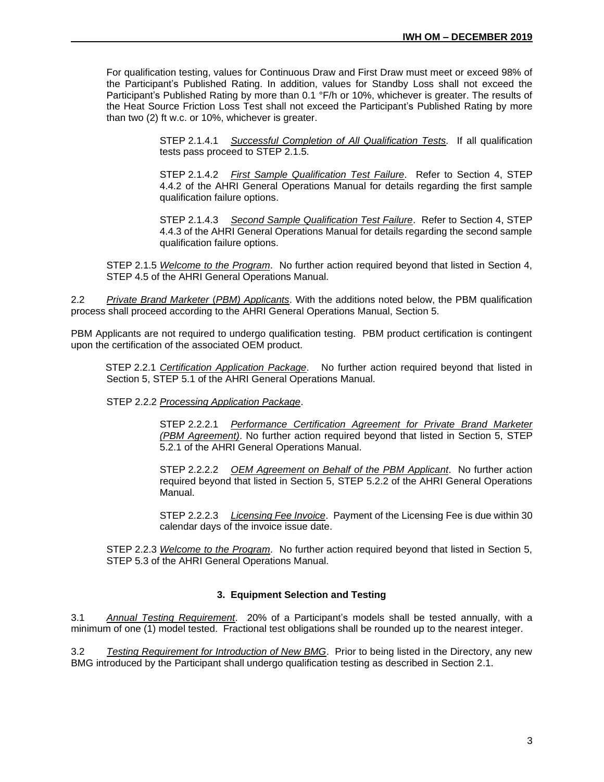For qualification testing, values for Continuous Draw and First Draw must meet or exceed 98% of the Participant's Published Rating. In addition, values for Standby Loss shall not exceed the Participant's Published Rating by more than 0.1 °F/h or 10%, whichever is greater. The results of the Heat Source Friction Loss Test shall not exceed the Participant's Published Rating by more than two (2) ft w.c. or 10%, whichever is greater.

> STEP 2.1.4.1 *Successful Completion of All Qualification Tests.* If all qualification tests pass proceed to STEP 2.1.5.

> STEP 2.1.4.2 *First Sample Qualification Test Failure*. Refer to Section 4, STEP 4.4.2 of the AHRI General Operations Manual for details regarding the first sample qualification failure options.

> STEP 2.1.4.3 *Second Sample Qualification Test Failure*. Refer to Section 4, STEP 4.4.3 of the AHRI General Operations Manual for details regarding the second sample qualification failure options.

STEP 2.1.5 *Welcome to the Program*. No further action required beyond that listed in Section 4, STEP 4.5 of the AHRI General Operations Manual.

2.2 *Private Brand Marketer* (*PBM) Applicants*. With the additions noted below, the PBM qualification process shall proceed according to the AHRI General Operations Manual, Section 5.

PBM Applicants are not required to undergo qualification testing. PBM product certification is contingent upon the certification of the associated OEM product.

STEP 2.2.1 *Certification Application Package*. No further action required beyond that listed in Section 5, STEP 5.1 of the AHRI General Operations Manual.

STEP 2.2.2 *Processing Application Package*.

STEP 2.2.2.1 *Performance Certification Agreement for Private Brand Marketer (PBM Agreement)*. No further action required beyond that listed in Section 5, STEP 5.2.1 of the AHRI General Operations Manual.

STEP 2.2.2.2 *OEM Agreement on Behalf of the PBM Applicant*. No further action required beyond that listed in Section 5, STEP 5.2.2 of the AHRI General Operations Manual.

STEP 2.2.2.3 *Licensing Fee Invoice*. Payment of the Licensing Fee is due within 30 calendar days of the invoice issue date.

STEP 2.2.3 *Welcome to the Program*. No further action required beyond that listed in Section 5, STEP 5.3 of the AHRI General Operations Manual.

#### **3. Equipment Selection and Testing**

3.1 *Annual Testing Requirement*. 20% of a Participant's models shall be tested annually, with a minimum of one (1) model tested. Fractional test obligations shall be rounded up to the nearest integer.

3.2 *Testing Requirement for Introduction of New BMG*. Prior to being listed in the Directory, any new BMG introduced by the Participant shall undergo qualification testing as described in Section 2.1.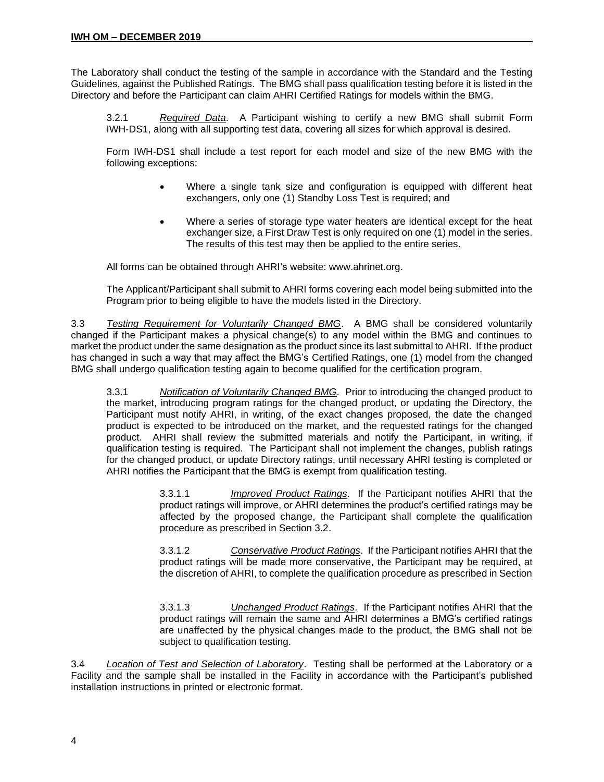The Laboratory shall conduct the testing of the sample in accordance with the Standard and the Testing Guidelines, against the Published Ratings. The BMG shall pass qualification testing before it is listed in the Directory and before the Participant can claim AHRI Certified Ratings for models within the BMG.

3.2.1 *Required Data*. A Participant wishing to certify a new BMG shall submit Form IWH-DS1, along with all supporting test data, covering all sizes for which approval is desired.

Form IWH-DS1 shall include a test report for each model and size of the new BMG with the following exceptions:

- Where a single tank size and configuration is equipped with different heat exchangers, only one (1) Standby Loss Test is required; and
- Where a series of storage type water heaters are identical except for the heat exchanger size, a First Draw Test is only required on one (1) model in the series. The results of this test may then be applied to the entire series.

All forms can be obtained through AHRI's website: www.ahrinet.org.

The Applicant/Participant shall submit to AHRI forms covering each model being submitted into the Program prior to being eligible to have the models listed in the Directory.

3.3 *Testing Requirement for Voluntarily Changed BMG*. A BMG shall be considered voluntarily changed if the Participant makes a physical change(s) to any model within the BMG and continues to market the product under the same designation as the product since its last submittal to AHRI. If the product has changed in such a way that may affect the BMG's Certified Ratings, one (1) model from the changed BMG shall undergo qualification testing again to become qualified for the certification program.

3.3.1 *Notification of Voluntarily Changed BMG*. Prior to introducing the changed product to the market, introducing program ratings for the changed product, or updating the Directory, the Participant must notify AHRI, in writing, of the exact changes proposed, the date the changed product is expected to be introduced on the market, and the requested ratings for the changed product. AHRI shall review the submitted materials and notify the Participant, in writing, if qualification testing is required. The Participant shall not implement the changes, publish ratings for the changed product, or update Directory ratings, until necessary AHRI testing is completed or AHRI notifies the Participant that the BMG is exempt from qualification testing.

> 3.3.1.1 *Improved Product Ratings*. If the Participant notifies AHRI that the product ratings will improve, or AHRI determines the product's certified ratings may be affected by the proposed change, the Participant shall complete the qualification procedure as prescribed in Section 3.2.

> 3.3.1.2 *Conservative Product Ratings*. If the Participant notifies AHRI that the product ratings will be made more conservative, the Participant may be required, at the discretion of AHRI, to complete the qualification procedure as prescribed in Section

> 3.3.1.3 *Unchanged Product Ratings*. If the Participant notifies AHRI that the product ratings will remain the same and AHRI determines a BMG's certified ratings are unaffected by the physical changes made to the product, the BMG shall not be subject to qualification testing.

3.4 *Location of Test and Selection of Laboratory*. Testing shall be performed at the Laboratory or a Facility and the sample shall be installed in the Facility in accordance with the Participant's published installation instructions in printed or electronic format.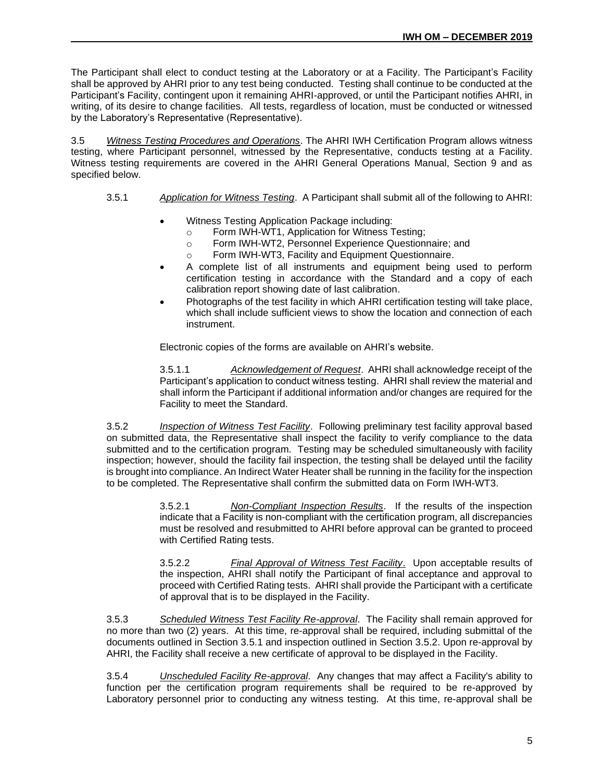The Participant shall elect to conduct testing at the Laboratory or at a Facility. The Participant's Facility shall be approved by AHRI prior to any test being conducted. Testing shall continue to be conducted at the Participant's Facility, contingent upon it remaining AHRI-approved, or until the Participant notifies AHRI, in writing, of its desire to change facilities. All tests, regardless of location, must be conducted or witnessed by the Laboratory's Representative (Representative).

3.5 *Witness Testing Procedures and Operations*. The AHRI IWH Certification Program allows witness testing, where Participant personnel, witnessed by the Representative, conducts testing at a Facility. Witness testing requirements are covered in the AHRI General Operations Manual, Section 9 and as specified below.

#### 3.5.1 *Application for Witness Testing*. A Participant shall submit all of the following to AHRI:

- Witness Testing Application Package including:
	- o Form IWH-WT1, Application for Witness Testing;
	- o Form IWH-WT2, Personnel Experience Questionnaire; and
	- o Form IWH-WT3, Facility and Equipment Questionnaire.
- A complete list of all instruments and equipment being used to perform certification testing in accordance with the Standard and a copy of each calibration report showing date of last calibration.
- Photographs of the test facility in which AHRI certification testing will take place, which shall include sufficient views to show the location and connection of each instrument.

Electronic copies of the forms are available on AHRI's website.

3.5.1.1 *Acknowledgement of Request*. AHRI shall acknowledge receipt of the Participant's application to conduct witness testing. AHRI shall review the material and shall inform the Participant if additional information and/or changes are required for the Facility to meet the Standard.

3.5.2 *Inspection of Witness Test Facility*. Following preliminary test facility approval based on submitted data, the Representative shall inspect the facility to verify compliance to the data submitted and to the certification program. Testing may be scheduled simultaneously with facility inspection; however, should the facility fail inspection, the testing shall be delayed until the facility is brought into compliance. An Indirect Water Heater shall be running in the facility for the inspection to be completed. The Representative shall confirm the submitted data on Form IWH-WT3.

> 3.5.2.1 *Non-Compliant Inspection Results*. If the results of the inspection indicate that a Facility is non-compliant with the certification program, all discrepancies must be resolved and resubmitted to AHRI before approval can be granted to proceed with Certified Rating tests.

> 3.5.2.2 *Final Approval of Witness Test Facility*. Upon acceptable results of the inspection, AHRI shall notify the Participant of final acceptance and approval to proceed with Certified Rating tests. AHRI shall provide the Participant with a certificate of approval that is to be displayed in the Facility.

3.5.3 *Scheduled Witness Test Facility Re-approval*. The Facility shall remain approved for no more than two (2) years. At this time, re-approval shall be required, including submittal of the documents outlined in Section 3.5.1 and inspection outlined in Section 3.5.2. Upon re-approval by AHRI, the Facility shall receive a new certificate of approval to be displayed in the Facility.

3.5.4 *Unscheduled Facility Re-approval*. Any changes that may affect a Facility's ability to function per the certification program requirements shall be required to be re-approved by Laboratory personnel prior to conducting any witness testing. At this time, re-approval shall be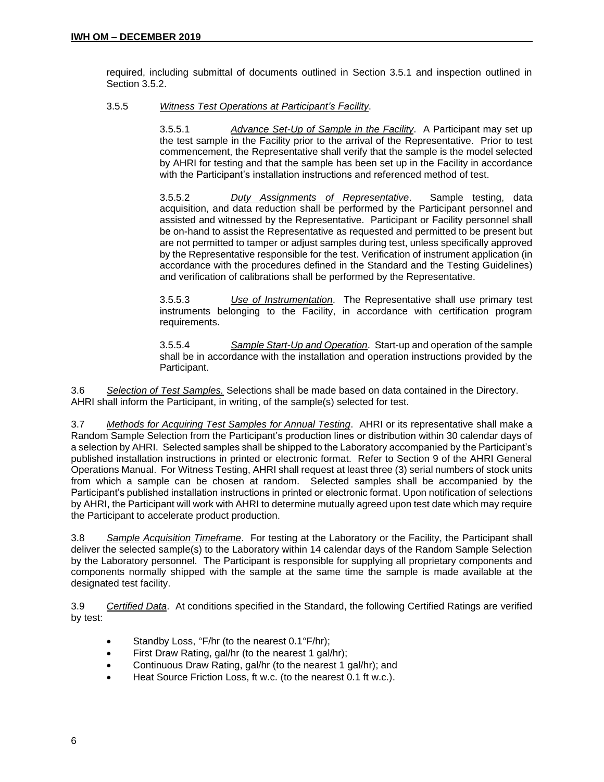required, including submittal of documents outlined in Section 3.5.1 and inspection outlined in Section 3.5.2.

#### 3.5.5 *Witness Test Operations at Participant's Facility*.

3.5.5.1 *Advance Set-Up of Sample in the Facility*. A Participant may set up the test sample in the Facility prior to the arrival of the Representative. Prior to test commencement, the Representative shall verify that the sample is the model selected by AHRI for testing and that the sample has been set up in the Facility in accordance with the Participant's installation instructions and referenced method of test.

3.5.5.2 *Duty Assignments of Representative*. Sample testing, data acquisition, and data reduction shall be performed by the Participant personnel and assisted and witnessed by the Representative. Participant or Facility personnel shall be on-hand to assist the Representative as requested and permitted to be present but are not permitted to tamper or adjust samples during test, unless specifically approved by the Representative responsible for the test. Verification of instrument application (in accordance with the procedures defined in the Standard and the Testing Guidelines) and verification of calibrations shall be performed by the Representative.

3.5.5.3 *Use of Instrumentation*. The Representative shall use primary test instruments belonging to the Facility, in accordance with certification program requirements.

3.5.5.4 *Sample Start-Up and Operation*. Start-up and operation of the sample shall be in accordance with the installation and operation instructions provided by the Participant.

3.6 *Selection of Test Samples.* Selections shall be made based on data contained in the Directory. AHRI shall inform the Participant, in writing, of the sample(s) selected for test.

3.7 *Methods for Acquiring Test Samples for Annual Testing*. AHRI or its representative shall make a Random Sample Selection from the Participant's production lines or distribution within 30 calendar days of a selection by AHRI. Selected samples shall be shipped to the Laboratory accompanied by the Participant's published installation instructions in printed or electronic format. Refer to Section 9 of the AHRI General Operations Manual. For Witness Testing, AHRI shall request at least three (3) serial numbers of stock units from which a sample can be chosen at random. Selected samples shall be accompanied by the Participant's published installation instructions in printed or electronic format. Upon notification of selections by AHRI, the Participant will work with AHRI to determine mutually agreed upon test date which may require the Participant to accelerate product production.

3.8 *Sample Acquisition Timeframe*. For testing at the Laboratory or the Facility, the Participant shall deliver the selected sample(s) to the Laboratory within 14 calendar days of the Random Sample Selection by the Laboratory personnel. The Participant is responsible for supplying all proprietary components and components normally shipped with the sample at the same time the sample is made available at the designated test facility.

3.9 *Certified Data*. At conditions specified in the Standard, the following Certified Ratings are verified by test:

- Standby Loss, °F/hr (to the nearest 0.1°F/hr);
- First Draw Rating, gal/hr (to the nearest 1 gal/hr);
- Continuous Draw Rating, gal/hr (to the nearest 1 gal/hr); and
- Heat Source Friction Loss, ft w.c. (to the nearest 0.1 ft w.c.).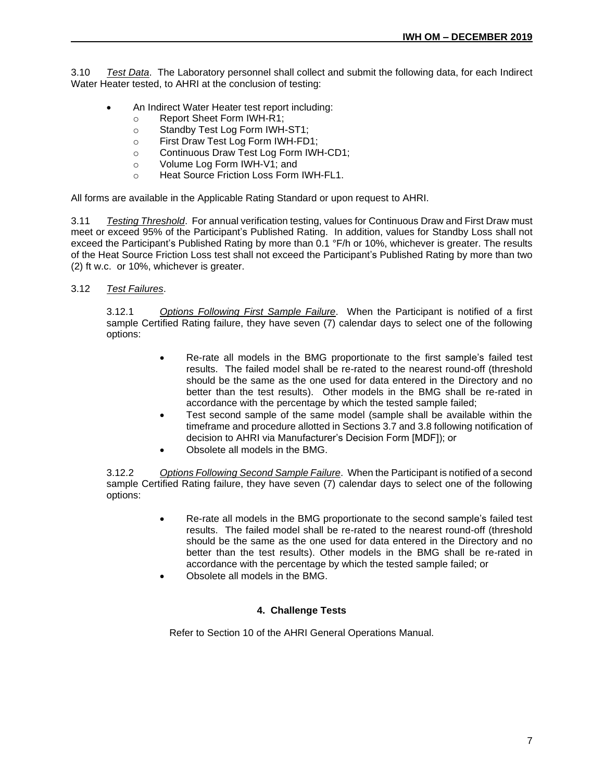3.10 *Test Data*. The Laboratory personnel shall collect and submit the following data, for each Indirect Water Heater tested, to AHRI at the conclusion of testing:

- An Indirect Water Heater test report including:
	- o Report Sheet Form IWH-R1;
	- o Standby Test Log Form IWH-ST1;
	- o First Draw Test Log Form IWH-FD1;
	- o Continuous Draw Test Log Form IWH-CD1;
	- o Volume Log Form IWH-V1; and
	- o Heat Source Friction Loss Form IWH-FL1.

All forms are available in the Applicable Rating Standard or upon request to AHRI.

3.11 *Testing Threshold*. For annual verification testing, values for Continuous Draw and First Draw must meet or exceed 95% of the Participant's Published Rating. In addition, values for Standby Loss shall not exceed the Participant's Published Rating by more than 0.1 °F/h or 10%, whichever is greater. The results of the Heat Source Friction Loss test shall not exceed the Participant's Published Rating by more than two (2) ft w.c. or 10%, whichever is greater.

#### 3.12 *Test Failures*.

3.12.1 *Options Following First Sample Failure*. When the Participant is notified of a first sample Certified Rating failure, they have seven (7) calendar days to select one of the following options:

- Re-rate all models in the BMG proportionate to the first sample's failed test results. The failed model shall be re-rated to the nearest round-off (threshold should be the same as the one used for data entered in the Directory and no better than the test results). Other models in the BMG shall be re-rated in accordance with the percentage by which the tested sample failed;
- Test second sample of the same model (sample shall be available within the timeframe and procedure allotted in Sections 3.7 and 3.8 following notification of decision to AHRI via Manufacturer's Decision Form [MDF]); or
- Obsolete all models in the BMG.

3.12.2 *Options Following Second Sample Failure*. When the Participant is notified of a second sample Certified Rating failure, they have seven (7) calendar days to select one of the following options:

- Re-rate all models in the BMG proportionate to the second sample's failed test results. The failed model shall be re-rated to the nearest round-off (threshold should be the same as the one used for data entered in the Directory and no better than the test results). Other models in the BMG shall be re-rated in accordance with the percentage by which the tested sample failed; or
- Obsolete all models in the BMG.

#### **4. Challenge Tests**

Refer to Section 10 of the AHRI General Operations Manual.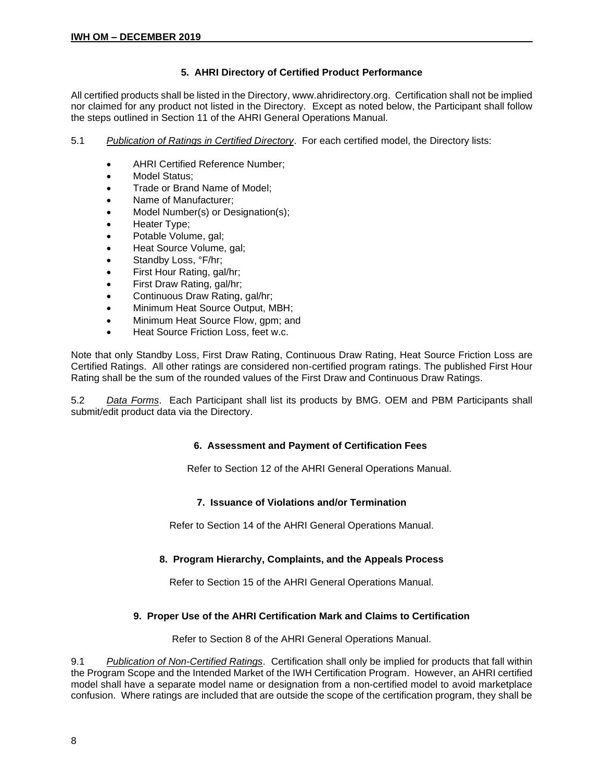# **5. AHRI Directory of Certified Product Performance**

All certified products shall be listed in the Directory, www.ahridirectory.org. Certification shall not be implied nor claimed for any product not listed in the Directory. Except as noted below, the Participant shall follow the steps outlined in Section 11 of the AHRI General Operations Manual.

- 5.1 *Publication of Ratings in Certified Directory*. For each certified model, the Directory lists:
	- AHRI Certified Reference Number;
	- Model Status:
	- Trade or Brand Name of Model;
	- Name of Manufacturer;
	- Model Number(s) or Designation(s);
	- Heater Type;
	- Potable Volume, gal;
	- Heat Source Volume, gal;
	- Standby Loss, °F/hr;
	- First Hour Rating, gal/hr;
	- First Draw Rating, gal/hr;
	- Continuous Draw Rating, gal/hr;
	- Minimum Heat Source Output, MBH;
	- Minimum Heat Source Flow, gpm; and
	- Heat Source Friction Loss, feet w.c.

Note that only Standby Loss, First Draw Rating, Continuous Draw Rating, Heat Source Friction Loss are Certified Ratings. All other ratings are considered non-certified program ratings. The published First Hour Rating shall be the sum of the rounded values of the First Draw and Continuous Draw Ratings.

5.2 *Data Forms*. Each Participant shall list its products by BMG. OEM and PBM Participants shall submit/edit product data via the Directory.

#### **6. Assessment and Payment of Certification Fees**

Refer to Section 12 of the AHRI General Operations Manual.

# **7. Issuance of Violations and/or Termination**

Refer to Section 14 of the AHRI General Operations Manual.

# **8. Program Hierarchy, Complaints, and the Appeals Process**

Refer to Section 15 of the AHRI General Operations Manual.

# **9. Proper Use of the AHRI Certification Mark and Claims to Certification**

Refer to Section 8 of the AHRI General Operations Manual.

9.1 *Publication of Non-Certified Ratings*. Certification shall only be implied for products that fall within the Program Scope and the Intended Market of the IWH Certification Program. However, an AHRI certified model shall have a separate model name or designation from a non-certified model to avoid marketplace confusion. Where ratings are included that are outside the scope of the certification program, they shall be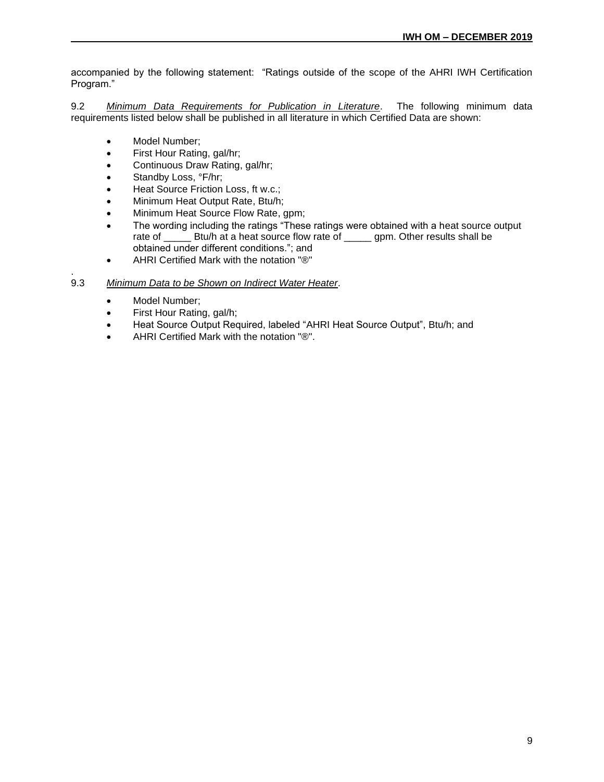accompanied by the following statement: "Ratings outside of the scope of the AHRI IWH Certification Program."

9.2 *Minimum Data Requirements for Publication in Literature*. The following minimum data requirements listed below shall be published in all literature in which Certified Data are shown:

- Model Number;
- First Hour Rating, gal/hr;
- Continuous Draw Rating, gal/hr;
- Standby Loss, °F/hr;
- Heat Source Friction Loss, ft w.c.;
- Minimum Heat Output Rate, Btu/h;
- Minimum Heat Source Flow Rate, gpm;
- The wording including the ratings "These ratings were obtained with a heat source output rate of \_\_\_\_\_ Btu/h at a heat source flow rate of \_\_\_\_\_\_ gpm. Other results shall be obtained under different conditions."; and
- AHRI Certified Mark with the notation "®"

#### . 9.3 *Minimum Data to be Shown on Indirect Water Heater*.

- Model Number;
- First Hour Rating, gal/h;
- Heat Source Output Required, labeled "AHRI Heat Source Output", Btu/h; and
- AHRI Certified Mark with the notation "®".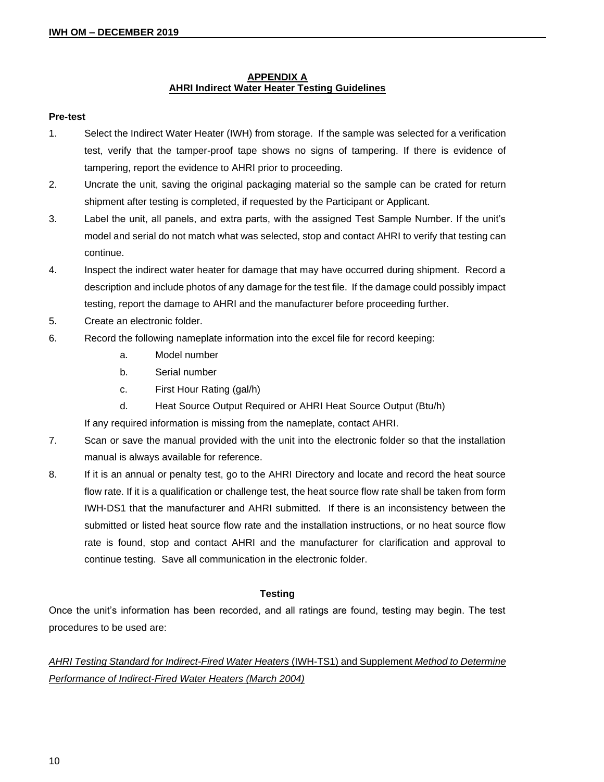# **APPENDIX A AHRI Indirect Water Heater Testing Guidelines**

#### **Pre-test**

- 1. Select the Indirect Water Heater (IWH) from storage. If the sample was selected for a verification test, verify that the tamper-proof tape shows no signs of tampering. If there is evidence of tampering, report the evidence to AHRI prior to proceeding.
- 2. Uncrate the unit, saving the original packaging material so the sample can be crated for return shipment after testing is completed, if requested by the Participant or Applicant.
- 3. Label the unit, all panels, and extra parts, with the assigned Test Sample Number. If the unit's model and serial do not match what was selected, stop and contact AHRI to verify that testing can continue.
- 4. Inspect the indirect water heater for damage that may have occurred during shipment. Record a description and include photos of any damage for the test file. If the damage could possibly impact testing, report the damage to AHRI and the manufacturer before proceeding further.
- 5. Create an electronic folder.
- 6. Record the following nameplate information into the excel file for record keeping:
	- a. Model number
	- b. Serial number
	- c. First Hour Rating (gal/h)
	- d. Heat Source Output Required or AHRI Heat Source Output (Btu/h)

If any required information is missing from the nameplate, contact AHRI.

- 7. Scan or save the manual provided with the unit into the electronic folder so that the installation manual is always available for reference.
- 8. If it is an annual or penalty test, go to the AHRI Directory and locate and record the heat source flow rate. If it is a qualification or challenge test, the heat source flow rate shall be taken from form IWH-DS1 that the manufacturer and AHRI submitted. If there is an inconsistency between the submitted or listed heat source flow rate and the installation instructions, or no heat source flow rate is found, stop and contact AHRI and the manufacturer for clarification and approval to continue testing. Save all communication in the electronic folder.

# **Testing**

Once the unit's information has been recorded, and all ratings are found, testing may begin. The test procedures to be used are:

*AHRI Testing Standard for Indirect-Fired Water Heaters* (IWH-TS1) and Supplement *Method to Determine Performance of Indirect-Fired Water Heaters (March 2004)*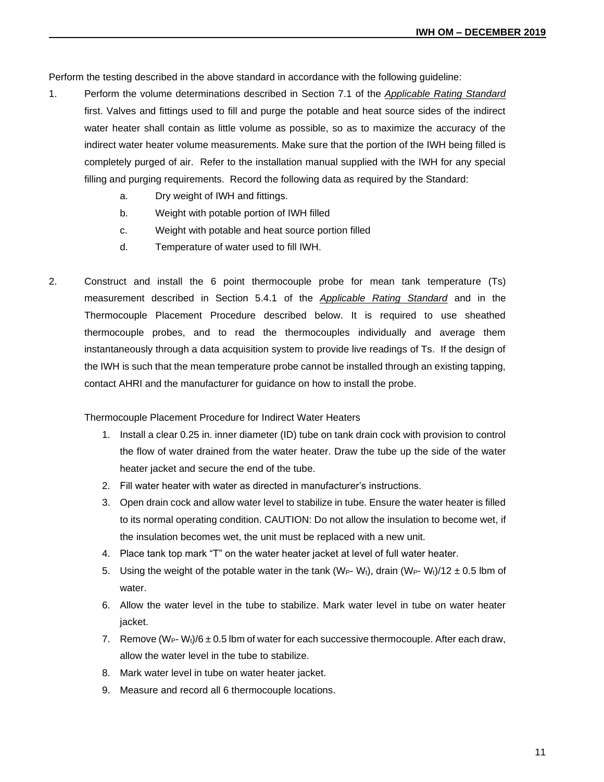Perform the testing described in the above standard in accordance with the following guideline:

- 1. Perform the volume determinations described in Section 7.1 of the *Applicable Rating Standard* first. Valves and fittings used to fill and purge the potable and heat source sides of the indirect water heater shall contain as little volume as possible, so as to maximize the accuracy of the indirect water heater volume measurements. Make sure that the portion of the IWH being filled is completely purged of air. Refer to the installation manual supplied with the IWH for any special filling and purging requirements. Record the following data as required by the Standard:
	- a. Dry weight of IWH and fittings.
	- b. Weight with potable portion of IWH filled
	- c. Weight with potable and heat source portion filled
	- d. Temperature of water used to fill IWH.
- 2. Construct and install the 6 point thermocouple probe for mean tank temperature (Ts) measurement described in Section 5.4.1 of the *Applicable Rating Standard* and in the Thermocouple Placement Procedure described below. It is required to use sheathed thermocouple probes, and to read the thermocouples individually and average them instantaneously through a data acquisition system to provide live readings of Ts. If the design of the IWH is such that the mean temperature probe cannot be installed through an existing tapping, contact AHRI and the manufacturer for guidance on how to install the probe.

Thermocouple Placement Procedure for Indirect Water Heaters

- 1. Install a clear 0.25 in. inner diameter (ID) tube on tank drain cock with provision to control the flow of water drained from the water heater. Draw the tube up the side of the water heater jacket and secure the end of the tube.
- 2. Fill water heater with water as directed in manufacturer's instructions.
- 3. Open drain cock and allow water level to stabilize in tube. Ensure the water heater is filled to its normal operating condition. CAUTION: Do not allow the insulation to become wet, if the insulation becomes wet, the unit must be replaced with a new unit.
- 4. Place tank top mark "T" on the water heater jacket at level of full water heater.
- 5. Using the weight of the potable water in the tank (W<sub>P</sub>- W<sub>t</sub>), drain (W<sub>P</sub>- W<sub>t</sub>)/12  $\pm$  0.5 lbm of water.
- 6. Allow the water level in the tube to stabilize. Mark water level in tube on water heater jacket.
- 7. Remove  $(W_P-W_t)/6 \pm 0.5$  lbm of water for each successive thermocouple. After each draw, allow the water level in the tube to stabilize.
- 8. Mark water level in tube on water heater jacket.
- 9. Measure and record all 6 thermocouple locations.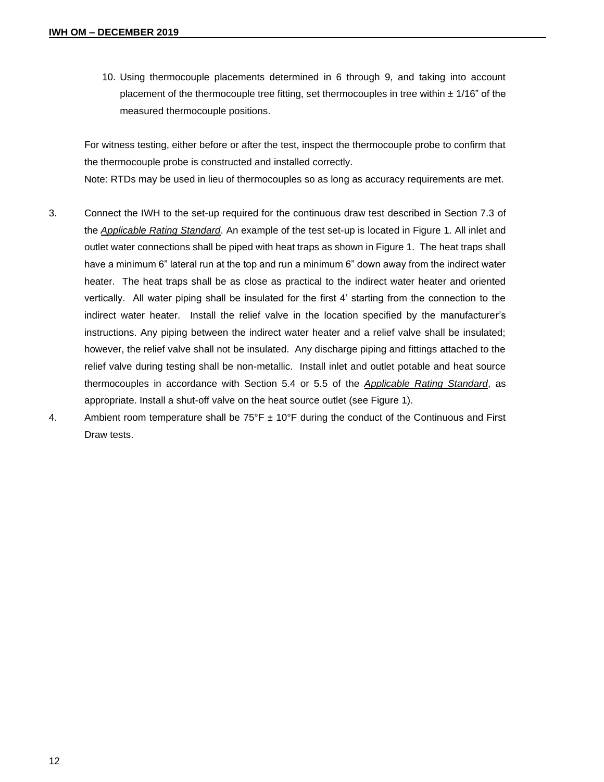10. Using thermocouple placements determined in 6 through 9, and taking into account placement of the thermocouple tree fitting, set thermocouples in tree within  $\pm$  1/16" of the measured thermocouple positions.

For witness testing, either before or after the test, inspect the thermocouple probe to confirm that the thermocouple probe is constructed and installed correctly. Note: RTDs may be used in lieu of thermocouples so as long as accuracy requirements are met.

- 3. Connect the IWH to the set-up required for the continuous draw test described in Section 7.3 of the *Applicable Rating Standard*. An example of the test set-up is located in Figure 1. All inlet and outlet water connections shall be piped with heat traps as shown in Figure 1. The heat traps shall have a minimum 6" lateral run at the top and run a minimum 6" down away from the indirect water heater. The heat traps shall be as close as practical to the indirect water heater and oriented vertically. All water piping shall be insulated for the first 4' starting from the connection to the indirect water heater. Install the relief valve in the location specified by the manufacturer's instructions. Any piping between the indirect water heater and a relief valve shall be insulated; however, the relief valve shall not be insulated. Any discharge piping and fittings attached to the relief valve during testing shall be non-metallic. Install inlet and outlet potable and heat source thermocouples in accordance with Section 5.4 or 5.5 of the *Applicable Rating Standard*, as appropriate. Install a shut-off valve on the heat source outlet (see Figure 1).
- 4. Ambient room temperature shall be  $75^{\circ}F \pm 10^{\circ}F$  during the conduct of the Continuous and First Draw tests.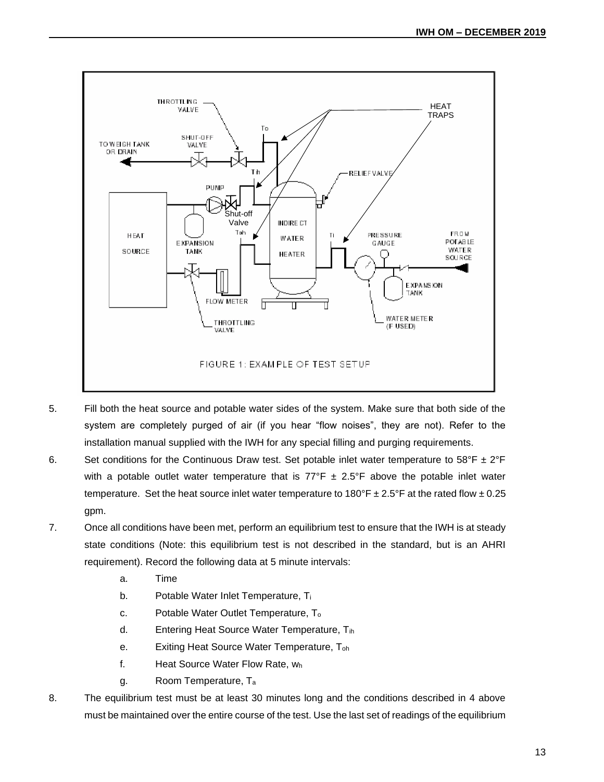

- 5. Fill both the heat source and potable water sides of the system. Make sure that both side of the system are completely purged of air (if you hear "flow noises", they are not). Refer to the installation manual supplied with the IWH for any special filling and purging requirements.
- 6. Set conditions for the Continuous Draw test. Set potable inlet water temperature to  $58^{\circ}F \pm 2^{\circ}F$ with a potable outlet water temperature that is  $77^{\circ}F \pm 2.5^{\circ}F$  above the potable inlet water temperature. Set the heat source inlet water temperature to  $180^{\circ}F \pm 2.5^{\circ}F$  at the rated flow  $\pm 0.25$ gpm.
- 7. Once all conditions have been met, perform an equilibrium test to ensure that the IWH is at steady state conditions (Note: this equilibrium test is not described in the standard, but is an AHRI requirement). Record the following data at 5 minute intervals:
	- a. Time
	- b. Potable Water Inlet Temperature, Ti
	- c. Potable Water Outlet Temperature, T<sup>o</sup>
	- d. Entering Heat Source Water Temperature, Tih
	- e. Exiting Heat Source Water Temperature, Toh
	- f. Heat Source Water Flow Rate, w<sup>h</sup>
	- g. Room Temperature, T<sup>a</sup>
- 8. The equilibrium test must be at least 30 minutes long and the conditions described in 4 above must be maintained over the entire course of the test. Use the last set of readings of the equilibrium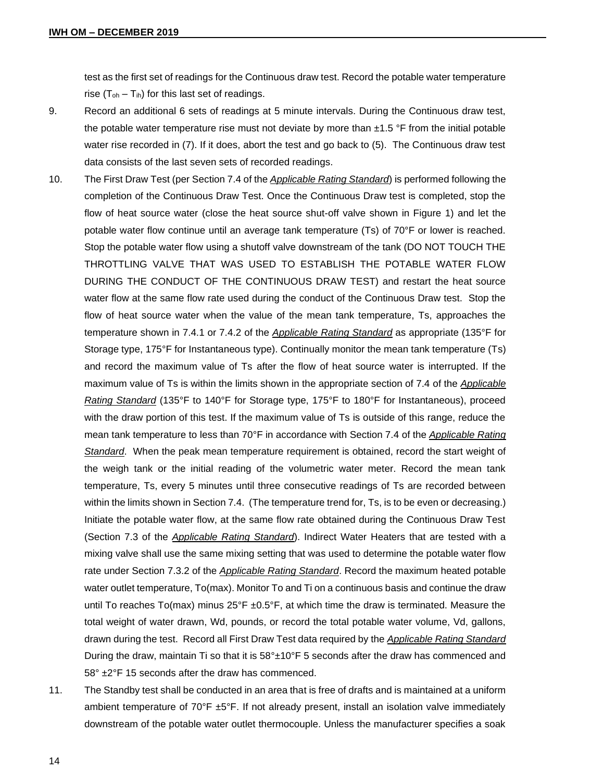test as the first set of readings for the Continuous draw test. Record the potable water temperature rise  $(T_{oh} - T_{ih})$  for this last set of readings.

- 9. Record an additional 6 sets of readings at 5 minute intervals. During the Continuous draw test, the potable water temperature rise must not deviate by more than  $\pm 1.5$  °F from the initial potable water rise recorded in (7). If it does, abort the test and go back to (5). The Continuous draw test data consists of the last seven sets of recorded readings.
- 10. The First Draw Test (per Section 7.4 of the *Applicable Rating Standard*) is performed following the completion of the Continuous Draw Test. Once the Continuous Draw test is completed, stop the flow of heat source water (close the heat source shut-off valve shown in Figure 1) and let the potable water flow continue until an average tank temperature (Ts) of 70°F or lower is reached. Stop the potable water flow using a shutoff valve downstream of the tank (DO NOT TOUCH THE THROTTLING VALVE THAT WAS USED TO ESTABLISH THE POTABLE WATER FLOW DURING THE CONDUCT OF THE CONTINUOUS DRAW TEST) and restart the heat source water flow at the same flow rate used during the conduct of the Continuous Draw test. Stop the flow of heat source water when the value of the mean tank temperature, Ts, approaches the temperature shown in 7.4.1 or 7.4.2 of the *Applicable Rating Standard* as appropriate (135°F for Storage type, 175°F for Instantaneous type). Continually monitor the mean tank temperature (Ts) and record the maximum value of Ts after the flow of heat source water is interrupted. If the maximum value of Ts is within the limits shown in the appropriate section of 7.4 of the *Applicable Rating Standard* (135°F to 140°F for Storage type, 175°F to 180°F for Instantaneous), proceed with the draw portion of this test. If the maximum value of Ts is outside of this range, reduce the mean tank temperature to less than 70°F in accordance with Section 7.4 of the *Applicable Rating Standard*. When the peak mean temperature requirement is obtained, record the start weight of the weigh tank or the initial reading of the volumetric water meter. Record the mean tank temperature, Ts, every 5 minutes until three consecutive readings of Ts are recorded between within the limits shown in Section 7.4. (The temperature trend for, Ts, is to be even or decreasing.) Initiate the potable water flow, at the same flow rate obtained during the Continuous Draw Test (Section 7.3 of the *Applicable Rating Standard*). Indirect Water Heaters that are tested with a mixing valve shall use the same mixing setting that was used to determine the potable water flow rate under Section 7.3.2 of the *Applicable Rating Standard*. Record the maximum heated potable water outlet temperature, To(max). Monitor To and Ti on a continuous basis and continue the draw until To reaches To(max) minus  $25^{\circ}F \pm 0.5^{\circ}F$ , at which time the draw is terminated. Measure the total weight of water drawn, Wd, pounds, or record the total potable water volume, Vd, gallons, drawn during the test. Record all First Draw Test data required by the *Applicable Rating Standard* During the draw, maintain Ti so that it is  $58^{\circ}$ ±10 $^{\circ}$ F 5 seconds after the draw has commenced and 58° ±2°F 15 seconds after the draw has commenced.
- 11. The Standby test shall be conducted in an area that is free of drafts and is maintained at a uniform ambient temperature of  $70^{\circ}F \pm 5^{\circ}F$ . If not already present, install an isolation valve immediately downstream of the potable water outlet thermocouple. Unless the manufacturer specifies a soak